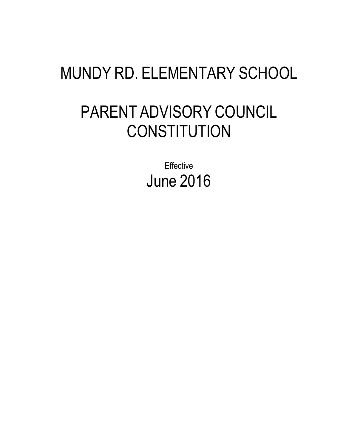# MUNDY RD. ELEMENTARY SCHOOL

# PARENT ADVISORY COUNCIL **CONSTITUTION**

**Effective** June 2016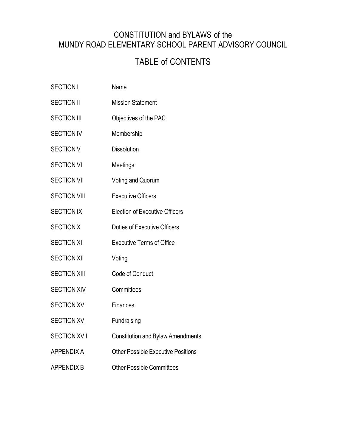## CONSTITUTION and BYLAWS of the MUNDY ROAD ELEMENTARY SCHOOL PARENT ADVISORY COUNCIL

# TABLE of CONTENTS

- SECTION I Name SECTION II Mission Statement SECTION III Objectives of the PAC SECTION IV Membership SECTION V Dissolution SECTION VI Meetings SECTION VII Voting and Quorum SECTION VIII Executive Officers SECTION IX Election of Executive Officers SECTION X Duties of Executive Officers SECTION XI Executive Terms of Office SECTION XII Voting SECTION XIII Code of Conduct SECTION XIV Committees SECTION XV Finances SECTION XVI Fundraising SECTION XVII Constitution and Bylaw Amendments
- APPENDIX A Other Possible Executive Positions
- APPENDIX B Other Possible Committees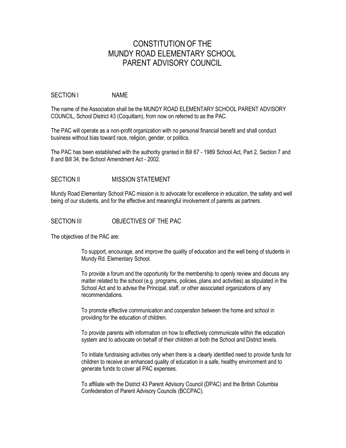## CONSTITUTION OF THE MUNDY ROAD ELEMENTARY SCHOOL PARENT ADVISORY COUNCIL

#### SECTION I NAME

The name of the Association shall be the MUNDY ROAD ELEMENTARY SCHOOL PARENT ADVISORY COUNCIL, School District 43 (Coquitlam), from now on referred to as the PAC.

The PAC will operate as a non-profit organization with no personal financial benefit and shall conduct business without bias toward race, religion, gender, or politics.

The PAC has been established with the authority granted in Bill 67 - 1989 School Act, Part 2, Section 7 and 8 and Bill 34, the School Amendment Act - 2002.

## SECTION II MISSION STATEMENT

Mundy Road Elementary School PAC mission is to advocate for excellence in education, the safety and well being of our students, and for the effective and meaningful involvement of parents as partners.

## SECTION III **OBJECTIVES OF THE PAC**

The objectives of the PAC are:

To support, encourage, and improve the quality of education and the well being of students in Mundy Rd. Elementary School.

To provide a forum and the opportunity for the membership to openly review and discuss any matter related to the school (e.g. programs, policies, plans and activities) as stipulated in the School Act and to advise the Principal, staff, or other associated organizations of any recommendations.

To promote effective communication and cooperation between the home and school in providing for the education of children.

To provide parents with information on how to effectively communicate within the education system and to advocate on behalf of their children at both the School and District levels.

To initiate fundraising activities only when there is a clearly identified need to provide funds for children to receive an enhanced quality of education in a safe, healthy environment and to generate funds to cover all PAC expenses.

To affiliate with the District 43 Parent Advisory Council (DPAC) and the British Columbia Confederation of Parent Advisory Councils (BCCPAC).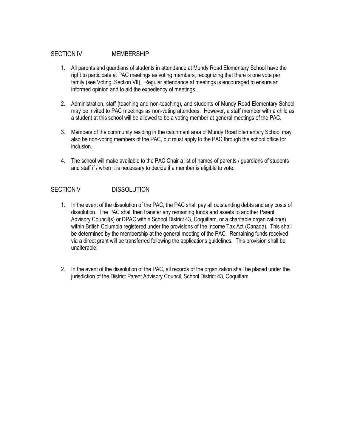## SECTION IV MEMBERSHIP

- 1. All parents and guardians of students in attendance at Mundy Road Elementary School have the right to participate at PAC meetings as voting members, recognizing that there is one vote per family (see Voting, Section VII). Regular attendance at meetings is encouraged to ensure an informed opinion and to aid the expediency of meetings.
- 2. Administration, staff (teaching and non-teaching), and students of Mundy Road Elementary School may be invited to PAC meetings as non-voting attendees. However, a staff member with a child as a student at this school will be allowed to be a voting member at general meetings of the PAC.
- 3. Members of the community residing in the catchment area of Mundy Road Elementary School may also be non-voting members of the PAC, but must apply to the PAC through the school office for inclusion.
- 4. The school will make available to the PAC Chair a list of names of parents / guardians of students and staff if / when it is necessary to decide if a member is eligible to vote.

## SECTION V DISSOLUTION

- 1. In the event of the dissolution of the PAC, the PAC shall pay all outstanding debts and any costs of dissolution. The PAC shall then transfer any remaining funds and assets to another Parent Advisory Council(s) or DPAC within School District 43, Coquitlam, or a charitable organization(s) within British Columbia registered under the provisions of the Income Tax Act (Canada). This shall be determined by the membership at the general meeting of the PAC. Remaining funds received via a direct grant will be transferred following the applications guidelines. This provision shall be unalterable.
- 2. In the event of the dissolution of the PAC, all records of the organization shall be placed under the jurisdiction of the District Parent Advisory Council, School District 43, Coquitlam.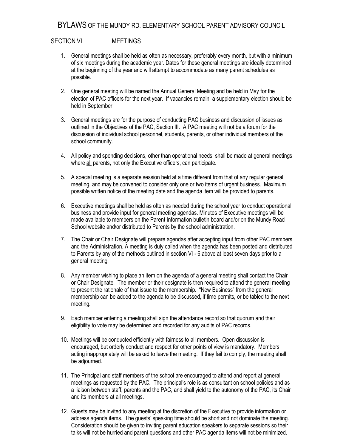## BYLAWS OF THE MUNDY RD. ELEMENTARY SCHOOL PARENT ADVISORY COUNCIL

## SECTION VI MEETINGS

- 1. General meetings shall be held as often as necessary, preferably every month, but with a minimum of six meetings during the academic year. Dates for these general meetings are ideally determined at the beginning of the year and will attempt to accommodate as many parent schedules as possible.
- 2. One general meeting will be named the Annual General Meeting and be held in May for the election of PAC officers for the next year. If vacancies remain, a supplementary election should be held in September.
- 3. General meetings are for the purpose of conducting PAC business and discussion of issues as outlined in the Objectives of the PAC, Section III. A PAC meeting will not be a forum for the discussion of individual school personnel, students, parents, or other individual members of the school community.
- 4. All policy and spending decisions, other than operational needs, shall be made at general meetings where all parents, not only the Executive officers, can participate.
- 5. A special meeting is a separate session held at a time different from that of any regular general meeting, and may be convened to consider only one or two items of urgent business. Maximum possible written notice of the meeting date and the agenda item will be provided to parents.
- 6. Executive meetings shall be held as often as needed during the school year to conduct operational business and provide input for general meeting agendas. Minutes of Executive meetings will be made available to members on the Parent Information bulletin board and/or on the Mundy Road School website and/or distributed to Parents by the school administration.
- 7. The Chair or Chair Designate will prepare agendas after accepting input from other PAC members and the Administration. A meeting is duly called when the agenda has been posted and distributed to Parents by any of the methods outlined in section VI - 6 above at least seven days prior to a general meeting.
- 8. Any member wishing to place an item on the agenda of a general meeting shall contact the Chair or Chair Designate. The member or their designate is then required to attend the general meeting to present the rationale of that issue to the membership. "New Business" from the general membership can be added to the agenda to be discussed, if time permits, or be tabled to the next meeting.
- 9. Each member entering a meeting shall sign the attendance record so that quorum and their eligibility to vote may be determined and recorded for any audits of PAC records.
- 10. Meetings will be conducted efficiently with fairness to all members. Open discussion is encouraged, but orderly conduct and respect for other points of view is mandatory. Members acting inappropriately will be asked to leave the meeting. If they fail to comply, the meeting shall be adjourned.
- 11. The Principal and staff members of the school are encouraged to attend and report at general meetings as requested by the PAC. The principal's role is as consultant on school policies and as a liaison between staff, parents and the PAC, and shall yield to the autonomy of the PAC, its Chair and its members at all meetings.
- 12. Guests may be invited to any meeting at the discretion of the Executive to provide information or address agenda items. The guests' speaking time should be short and not dominate the meeting. Consideration should be given to inviting parent education speakers to separate sessions so their talks will not be hurried and parent questions and other PAC agenda items will not be minimized.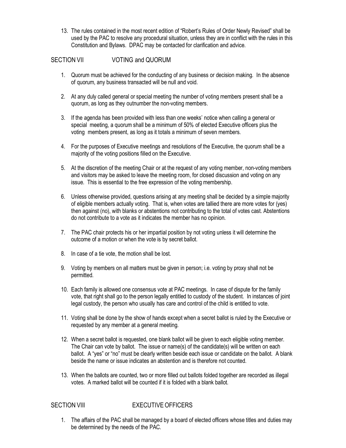13. The rules contained in the most recent edition of "Robert's Rules of Order Newly Revised" shall be used by the PAC to resolve any procedural situation, unless they are in conflict with the rules in this Constitution and Bylaws. DPAC may be contacted for clarification and advice.

## SECTION VII VOTING and QUORUM

- 1. Quorum must be achieved for the conducting of any business or decision making. In the absence of quorum, any business transacted will be null and void.
- 2. At any duly called general or special meeting the number of voting members present shall be a quorum, as long as they outnumber the non-voting members.
- 3. If the agenda has been provided with less than one weeks' notice when calling a general or special meeting, a quorum shall be a minimum of 50% of elected Executive officers plus the voting members present, as long as it totals a minimum of seven members.
- 4. For the purposes of Executive meetings and resolutions of the Executive, the quorum shall be a majority of the voting positions filled on the Executive.
- 5. At the discretion of the meeting Chair or at the request of any voting member, non-voting members and visitors may be asked to leave the meeting room, for closed discussion and voting on any issue. This is essential to the free expression of the voting membership.
- 6. Unless otherwise provided, questions arising at any meeting shall be decided by a simple majority of eligible members actually voting. That is, when votes are tallied there are more votes for (yes) then against (no), with blanks or abstentions not contributing to the total of votes cast. Abstentions do not contribute to a vote as it indicates the member has no opinion.
- 7. The PAC chair protects his or her impartial position by not voting unless it will determine the outcome of a motion or when the vote is by secret ballot.
- 8. In case of a tie vote, the motion shall be lost.
- 9. Voting by members on all matters must be given in person; i.e. voting by proxy shall not be permitted.
- 10. Each family is allowed one consensus vote at PAC meetings. In case of dispute for the family vote, that right shall go to the person legally entitled to custody of the student. In instances of joint legal custody, the person who usually has care and control of the child is entitled to vote.
- 11. Voting shall be done by the show of hands except when a secret ballot is ruled by the Executive or requested by any member at a general meeting.
- 12. When a secret ballot is requested, one blank ballot will be given to each eligible voting member. The Chair can vote by ballot. The issue or name(s) of the candidate(s) will be written on each ballot. A "yes" or "no" must be clearly written beside each issue or candidate on the ballot. A blank beside the name or issue indicates an abstention and is therefore not counted.
- 13. When the ballots are counted, two or more filled out ballots folded together are recorded as illegal votes. A marked ballot will be counted if it is folded with a blank ballot.

## SECTION VIII EXECUTIVE OFFICERS

1. The affairs of the PAC shall be managed by a board of elected officers whose titles and duties may be determined by the needs of the PAC.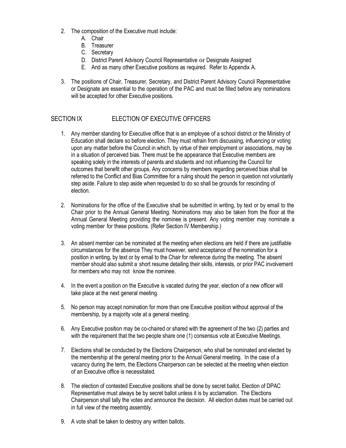- 2. The composition of the Executive must include:
	- A. Chair
	- B. Treasurer
	- C. Secretary
	- D. District Parent Advisory Council Representative or Designate Assigned
	- E. And as many other Executive positions as required. Refer to Appendix A.
- 3. The positions of Chair, Treasurer, Secretary, and District Parent Advisory Council Representative or Designate are essential to the operation of the PAC and must be filled before any nominations will be accepted for other Executive positions.

## SECTION IX ELECTION OF EXECUTIVE OFFICERS

- 1. Any member standing for Executive office that is an employee of a school district or the Ministry of Education shall declare so before election. They must refrain from discussing, influencing or voting upon any matter before the Council in which, by virtue of their employment or associations, may be in a situation of perceived bias. There must be the appearance that Executive members are speaking solely in the interests of parents and students and not influencing the Council for outcomes that benefit other groups. Any concerns by members regarding perceived bias shall be referred to the Conflict and Bias Committee for a ruling should the person in question not voluntarily step aside. Failure to step aside when requested to do so shall be grounds for rescinding of election.
- 2. Nominations for the office of the Executive shall be submitted in writing, by text or by email to the Chair prior to the Annual General Meeting. Nominations may also be taken from the floor at the Annual General Meeting providing the nominee is present. Any voting member may nominate a voting member for these positions. (Refer Section IV Membership.)
- 3. An absent member can be nominated at the meeting when elections are held if there are justifiable circumstances for the absence They must however, send acceptance of the nomination for a position in writing, by text or by email to the Chair for reference during the meeting. The absent member should also submit a short resume detailing their skills, interests, or prior PAC involvement for members who may not know the nominee.
- 4. In the event a position on the Executive is vacated during the year, election of a new officer will take place at the next general meeting.
- 5. No person may accept nomination for more than one Executive position without approval of the membership, by a majority vote at a general meeting.
- 6. Any Executive position may be co-chaired or shared with the agreement of the two (2) parties and with the requirement that the two people share one (1) consensus vote at Executive Meetings.
- 7. Elections shall be conducted by the Elections Chairperson, who shall be nominated and elected by the membership at the general meeting prior to the Annual General meeting. In the case of a vacancy during the term, the Elections Chairperson can be selected at the meeting when election of an Executive office is necessitated.
- 8. The election of contested Executive positions shall be done by secret ballot. Election of DPAC Representative must always be by secret ballot unless it is by acclamation. The Elections Chairperson shall tally the votes and announce the decision. All election duties must be carried out in full view of the meeting assembly.
- 9. A vote shall be taken to destroy any written ballots.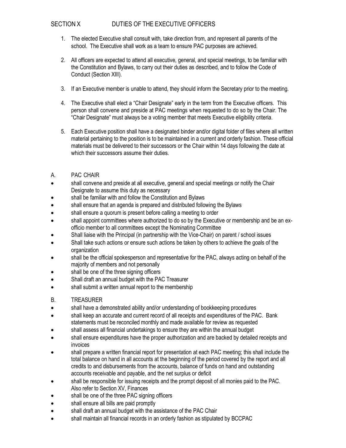## SECTION X DUTIES OF THE EXECUTIVE OFFICERS

- 1. The elected Executive shall consult with, take direction from, and represent all parents of the school. The Executive shall work as a team to ensure PAC purposes are achieved.
- 2. All officers are expected to attend all executive, general, and special meetings, to be familiar with the Constitution and Bylaws, to carry out their duties as described, and to follow the Code of Conduct (Section XIII).
- 3. If an Executive member is unable to attend, they should inform the Secretary prior to the meeting.
- 4. The Executive shall elect a "Chair Designate" early in the term from the Executive officers. This person shall convene and preside at PAC meetings when requested to do so by the Chair. The "Chair Designate" must always be a voting member that meets Executive eligibility criteria.
- 5. Each Executive position shall have a designated binder and/or digital folder of files where all written material pertaining to the position is to be maintained in a current and orderly fashion. These official materials must be delivered to their successors or the Chair within 14 days following the date at which their successors assume their duties.
- A. PAC CHAIR
- shall convene and preside at all executive, general and special meetings or notify the Chair Designate to assume this duty as necessary
- shall be familiar with and follow the Constitution and Bylaws
- shall ensure that an agenda is prepared and distributed following the Bylaws
- shall ensure a quorum is present before calling a meeting to order
- shall appoint committees where authorized to do so by the Executive or membership and be an exofficio member to all committees except the Nominating Committee
- Shall liaise with the Principal (in partnership with the Vice-Chair) on parent / school issues
- Shall take such actions or ensure such actions be taken by others to achieve the goals of the organization
- shall be the official spokesperson and representative for the PAC, always acting on behalf of the majority of members and not personally
- shall be one of the three signing officers
- Shall draft an annual budget with the PAC Treasurer
- shall submit a written annual report to the membership
- B. TREASURER
- shall have a demonstrated ability and/or understanding of bookkeeping procedures
- shall keep an accurate and current record of all receipts and expenditures of the PAC. Bank statements must be reconciled monthly and made available for review as requested
- shall assess all financial undertakings to ensure they are within the annual budget
- shall ensure expenditures have the proper authorization and are backed by detailed receipts and invoices
- shall prepare a written financial report for presentation at each PAC meeting; this shall include the total balance on hand in all accounts at the beginning of the period covered by the report and all credits to and disbursements from the accounts, balance of funds on hand and outstanding accounts receivable and payable, and the net surplus or deficit
- shall be responsible for issuing receipts and the prompt deposit of all monies paid to the PAC. Also refer to Section XV, Finances
- shall be one of the three PAC signing officers
- shall ensure all bills are paid promptly
- shall draft an annual budget with the assistance of the PAC Chair
- shall maintain all financial records in an orderly fashion as stipulated by BCCPAC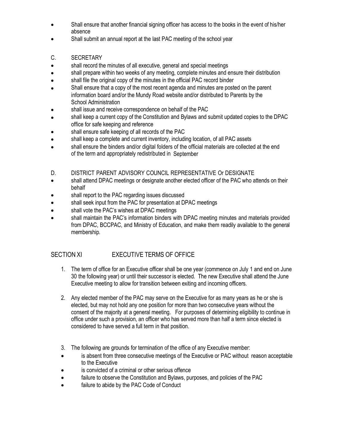- Shall ensure that another financial signing officer has access to the books in the event of his/her absence
- Shall submit an annual report at the last PAC meeting of the school year
- C. SECRETARY
- shall record the minutes of all executive, general and special meetings
- shall prepare within two weeks of any meeting, complete minutes and ensure their distribution
- shall file the original copy of the minutes in the official PAC record binder
- Shall ensure that a copy of the most recent agenda and minutes are posted on the parent information board and/or the Mundy Road website and/or distributed to Parents by the School Administration
- shall issue and receive correspondence on behalf of the PAC
- shall keep a current copy of the Constitution and Bylaws and submit updated copies to the DPAC office for safe keeping and reference
- shall ensure safe keeping of all records of the PAC
- shall keep a complete and current inventory, including location, of all PAC assets
- shall ensure the binders and/or digital folders of the official materials are collected at the end of the term and appropriately redistributed in September
- D. DISTRICT PARENT ADVISORY COUNCIL REPRESENTATIVE Or DESIGNATE
- shall attend DPAC meetings or designate another elected officer of the PAC who attends on their behalf
- shall report to the PAC regarding issues discussed
- shall seek input from the PAC for presentation at DPAC meetings
- shall vote the PAC's wishes at DPAC meetings
- shall maintain the PAC's information binders with DPAC meeting minutes and materials provided from DPAC, BCCPAC, and Ministry of Education, and make them readily available to the general membership.

## SECTION XI EXECUTIVE TERMS OF OFFICE

- 1. The term of office for an Executive officer shall be one year (commence on July 1 and end on June 30 the following year) or until their successor is elected. The new Executive shall attend the June Executive meeting to allow for transition between exiting and incoming officers.
- 2. Any elected member of the PAC may serve on the Executive for as many years as he or she is elected, but may not hold any one position for more than two consecutive years without the consent of the majority at a general meeting. For purposes of determining eligibility to continue in office under such a provision, an officer who has served more than half a term since elected is considered to have served a full term in that position.
- 3. The following are grounds for termination of the office of any Executive member:
- is absent from three consecutive meetings of the Executive or PAC without reason acceptable to the Executive
- is convicted of a criminal or other serious offence
- failure to observe the Constitution and Bylaws, purposes, and policies of the PAC
- failure to abide by the PAC Code of Conduct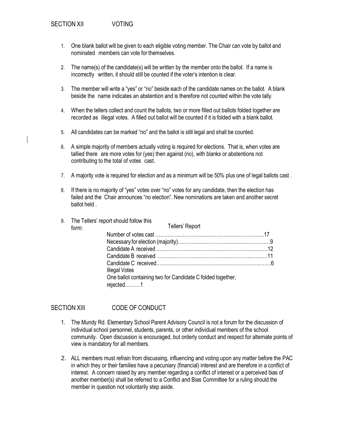- 1. One blank ballot will be given to each eligible voting member. The Chair can vote by ballot and nominated members can vote for themselves.
- 2. The name(s) of the candidate(s) will be written by the member onto the ballot. If a name is incorrectly written, it should still be counted if the voter's intention is clear.
- 3. The member will write a "yes" or "no" beside each of the candidate names on the ballot. A blank beside the name indicates an abstention and is therefore not counted within the vote tally.
- 4. When the tellers collect and count the ballots, two or more filled out ballots folded together are recorded as illegal votes. A filled out ballot will be counted if it is folded with a blank ballot.
- 5. All candidates can be marked "no" and the ballot is still legal and shall be counted.
- 6. A simple majority of members actually voting is required for elections. That is, when votes are tallied there are more votes for (yes) then against (no), with blanks or abstentions not contributing to the total of votes cast.
- 7. A majority vote is required for election and as a minimum will be 50% plus one of legal ballots cast .
- 8. If there is no majority of "yes" votes over "no" votes for any candidate, then the election has failed and the Chair announces "no election". New nominations are taken and another secret ballot held .

| Tellers' Report<br>form:                                                |                                                                   |
|-------------------------------------------------------------------------|-------------------------------------------------------------------|
|                                                                         |                                                                   |
|                                                                         |                                                                   |
|                                                                         |                                                                   |
|                                                                         |                                                                   |
|                                                                         |                                                                   |
|                                                                         |                                                                   |
| One ballot containing two for Candidate C folded together,<br>rejected1 |                                                                   |
|                                                                         | 9. The Tellers' report should follow this<br><b>Illegal Votes</b> |

SECTION XIII CODE OF CONDUCT

- 1. The Mundy Rd. Elementary School Parent Advisory Council is not a forum for the discussion of individual school personnel, students, parents, or other individual members of the school community. Open discussion is encouraged, but orderly conduct and respect for alternate points of view is mandatory for all members.
- 2. ALL members must refrain from discussing, influencing and voting upon any matter before the PAC in which they or their families have a pecuniary (financial) interest and are therefore in a conflict of interest. A concern raised by any member regarding a conflict of interest or a perceived bias of another member(s) shall be referred to a Conflict and Bias Committee for a ruling should the member in question not voluntarily step aside.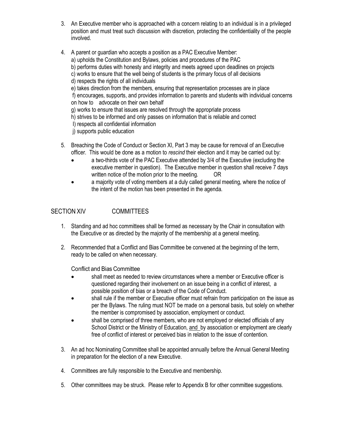- 3. An Executive member who is approached with a concern relating to an individual is in a privileged position and must treat such discussion with discretion, protecting the confidentiality of the people involved.
- 4. A parent or guardian who accepts a position as a PAC Executive Member:
	- a) upholds the Constitution and Bylaws, policies and procedures of the PAC
	- b) performs duties with honesty and integrity and meets agreed upon deadlines on projects
	- c) works to ensure that the well being of students is the primary focus of all decisions
	- d) respects the rights of all individuals
	- e) takes direction from the members, ensuring that representation processes are in place

f) encourages, supports, and provides information to parents and students with individual concerns on how to advocate on their own behalf

- g) works to ensure that issues are resolved through the appropriate process
- h) strives to be informed and only passes on information that is reliable and correct
- I) respects all confidential information

j) supports public education

- 5. Breaching the Code of Conduct or Section XI, Part 3 may be cause for removal of an Executive officer. This would be done as a motion to *rescind* their election and it may be carried out by:
	- a two-thirds vote of the PAC Executive attended by 3/4 of the Executive (excluding the executive member in question). The Executive member in question shall receive 7 days written notice of the motion prior to the meeting. OR
	- a majority vote of voting members at a duly called general meeting, where the notice of the intent of the motion has been presented in the agenda.

## SECTION XIV COMMITTEES

- 1. Standing and ad hoc committees shall be formed as necessary by the Chair in consultation with the Executive or as directed by the majority of the membership at a general meeting.
- 2. Recommended that a Conflict and Bias Committee be convened at the beginning of the term, ready to be called on when necessary.

Conflict and Bias Committee

- shall meet as needed to review circumstances where a member or Executive officer is questioned regarding their involvement on an issue being in a conflict of interest, a possible position of bias or a breach of the Code of Conduct.
- shall rule if the member or Executive officer must refrain from participation on the issue as per the Bylaws. The ruling must NOT be made on a personal basis, but solely on whether the member is compromised by association, employment or conduct.
- shall be comprised of three members, who are not employed or elected officials of any School District or the Ministry of Education, and by association or employment are clearly free of conflict of interest or perceived bias in relation to the issue of contention.
- 3. An ad hoc Nominating Committee shall be appointed annually before the Annual General Meeting in preparation for the election of a new Executive.
- 4. Committees are fully responsible to the Executive and membership.
- 5. Other committees may be struck. Please refer to Appendix B for other committee suggestions.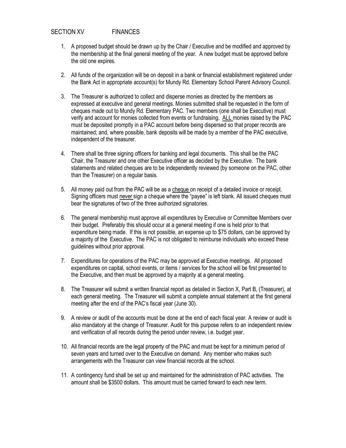## SECTION XV FINANCES

- 1. A proposed budget should be drawn up by the Chair / Executive and be modified and approved by the membership at the final general meeting of the year. A new budget must be approved before the old one expires.
- 2. All funds of the organization will be on deposit in a bank or financial establishment registered under the Bank Act in appropriate account(s) for Mundy Rd. Elementary School Parent Advisory Council.
- 3. The Treasurer is authorized to collect and disperse monies as directed by the members as expressed at executive and general meetings. Monies submitted shall be requested in the form of cheques made out to Mundy Rd. Elementary PAC. Two members (one shall be Executive) must verify and account for monies collected from events or fundraising. ALL monies raised by the PAC must be deposited promptly in a PAC account before being dispersed so that proper records are maintained; and, where possible, bank deposits will be made by a member of the PAC executive, independent of the treasurer.
- 4. There shall be three signing officers for banking and legal documents. This shall be the PAC Chair, the Treasurer and one other Executive officer as decided by the Executive. The bank statements and related cheques are to be independently reviewed (by someone on the PAC, other than the Treasurer) on a regular basis.
- 5. All money paid out from the PAC will be as a cheque on receipt of a detailed invoice or receipt. Signing officers must never sign a cheque where the "payee" is left blank. All issued cheques must bear the signatures of two of the three authorized signatories.
- 6. The general membership must approve all expenditures by Executive or Committee Members over their budget. Preferably this should occur at a general meeting if one is held prior to that expenditure being made. If this is not possible, an expense up to \$75 dollars, can be approved by a majority of the Executive. The PAC is not obligated to reimburse individuals who exceed these guidelines without prior approval.
- 7. Expenditures for operations of the PAC may be approved at Executive meetings. All proposed expenditures on capital, school events, or items / services for the school will be first presented to the Executive, and then must be approved by a majority at a general meeting.
- 8. The Treasurer will submit a written financial report as detailed in Section X, Part B, (Treasurer), at each general meeting. The Treasurer will submit a complete annual statement at the first general meeting after the end of the PAC's fiscal year (June 30).
- 9. A review or audit of the accounts must be done at the end of each fiscal year. A review or audit is also mandatory at the change of Treasurer. Audit for this purpose refers to an independent review and verification of all records during the period under review, i.e. budget year.
- 10. All financial records are the legal property of the PAC and must be kept for a minimum period of seven years and turned over to the Executive on demand. Any member who makes such arrangements with the Treasurer can view financial records at the school.
- 11. A contingency fund shall be set up and maintained for the administration of PAC activities. The amount shall be \$3500 dollars. This amount must be carried forward to each new term.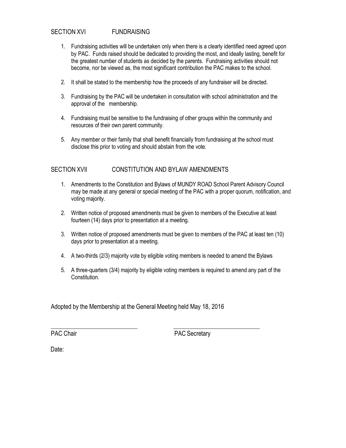## SECTION XVI FUNDRAISING

- 1. Fundraising activities will be undertaken only when there is a clearly identified need agreed upon by PAC. Funds raised should be dedicated to providing the most, and ideally lasting, benefit for the greatest number of students as decided by the parents. Fundraising activities should not become, nor be viewed as, the most significant contribution the PAC makes to the school.
- 2. It shall be stated to the membership how the proceeds of any fundraiser will be directed.
- 3. Fundraising by the PAC will be undertaken in consultation with school administration and the approval of the membership.
- 4. Fundraising must be sensitive to the fundraising of other groups within the community and resources of their own parent community.
- 5. Any member or their family that shall benefit financially from fundraising at the school must disclose this prior to voting and should abstain from the vote.

## SECTION XVII CONSTITUTION AND BYLAW AMENDMENTS

- 1. Amendments to the Constitution and Bylaws of MUNDY ROAD School Parent Advisory Council may be made at any general or special meeting of the PAC with a proper quorum, notification, and voting majority.
- 2. Written notice of proposed amendments must be given to members of the Executive at least fourteen (14) days prior to presentation at a meeting.
- 3. Written notice of proposed amendments must be given to members of the PAC at least ten (10) days prior to presentation at a meeting.
- 4. A two-thirds (2/3) majority vote by eligible voting members is needed to amend the Bylaws
- 5. A three-quarters (3/4) majority by eligible voting members is required to amend any part of the Constitution.

Adopted by the Membership at the General Meeting held May 18, 2016

PAC Chair **PAC Secretary** 

Date: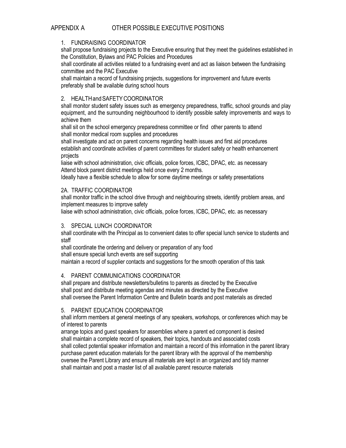## APPENDIX A OTHER POSSIBLE EXECUTIVE POSITIONS

## 1. FUNDRAISING COORDINATOR

shall propose fundraising projects to the Executive ensuring that they meet the guidelines established in the Constitution, Bylaws and PAC Policies and Procedures

shall coordinate all activities related to a fundraising event and act as liaison between the fundraising committee and the PAC Executive

shall maintain a record of fundraising projects, suggestions for improvement and future events preferably shall be available during school hours

## 2. HEALTHandSAFETYCOORDINATOR

shall monitor student safety issues such as emergency preparedness, traffic, school grounds and play equipment, and the surrounding neighbourhood to identify possible safety improvements and ways to achieve them

shall sit on the school emergency preparedness committee or find other parents to attend shall monitor medical room supplies and procedures

shall investigate and act on parent concerns regarding health issues and first aid procedures establish and coordinate activities of parent committees for student safety or health enhancement projects

liaise with school administration, civic officials, police forces, ICBC, DPAC, etc. as necessary Attend block parent district meetings held once every 2 months.

Ideally have a flexible schedule to allow for some daytime meetings or safety presentations

#### 2A. TRAFFIC COORDINATOR

shall monitor traffic in the school drive through and neighbouring streets, identify problem areas, and implement measures to improve safety

liaise with school administration, civic officials, police forces, ICBC, DPAC, etc. as necessary

## 3. SPECIAL LUNCH COORDINATOR

shall coordinate with the Principal as to convenient dates to offer special lunch service to students and staff

shall coordinate the ordering and delivery or preparation of any food

shall ensure special lunch events are self supporting

maintain a record of supplier contacts and suggestions for the smooth operation of this task

## 4. PARENT COMMUNICATIONS COORDINATOR

shall prepare and distribute newsletters/bulletins to parents as directed by the Executive shall post and distribute meeting agendas and minutes as directed by the Executive shall oversee the Parent Information Centre and Bulletin boards and post materials as directed

#### 5. PARENT EDUCATION COORDINATOR

shall inform members at general meetings of any speakers, workshops, or conferences which may be of interest to parents

arrange topics and guest speakers for assemblies where a parent ed component is desired shall maintain a complete record of speakers, their topics, handouts and associated costs shall collect potential speaker information and maintain a record of this information in the parent library purchase parent education materials for the parent library with the approval of the membership oversee the Parent Library and ensure all materials are kept in an organized and tidy manner shall maintain and post a master list of all available parent resource materials